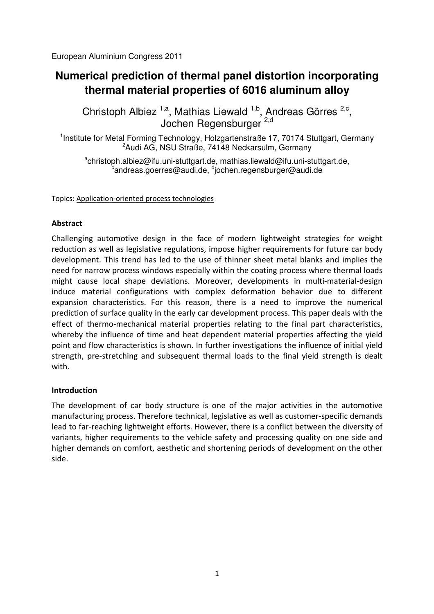European Aluminium Congress 2011

# **Numerical prediction of thermal panel distortion incorporating thermal material properties of 6016 aluminum alloy**

Christoph Albiez<sup>1,a</sup>, Mathias Liewald<sup>1,b</sup>, Andreas Görres<sup>2,c</sup>, Jochen Regensburger 2,d

<sup>1</sup>Institute for Metal Forming Technology, Holzgartenstraße 17, 70174 Stuttgart, Germany <sup>2</sup> Audi AG, NSU Straße, 74148 Neckarsulm, Germany

<sup>a</sup>christoph.albiez@ifu.uni-stuttgart.de, mathias.liewald@ifu.uni-stuttgart.de,  $^{\rm c}$ andreas.goerres@audi.de,  $^{\rm d}$ jochen.regensburger@audi.de $\bar{\phantom{a}}$ 

Topics: Application-oriented process technologies

## **Abstract**

Challenging automotive design in the face of modern lightweight strategies for weight reduction as well as legislative regulations, impose higher requirements for future car body development. This trend has led to the use of thinner sheet metal blanks and implies the need for narrow process windows especially within the coating process where thermal loads might cause local shape deviations. Moreover, developments in multi-material-design induce material configurations with complex deformation behavior due to different expansion characteristics. For this reason, there is a need to improve the numerical prediction of surface quality in the early car development process. This paper deals with the effect of thermo-mechanical material properties relating to the final part characteristics, whereby the influence of time and heat dependent material properties affecting the yield point and flow characteristics is shown. In further investigations the influence of initial yield strength, pre-stretching and subsequent thermal loads to the final yield strength is dealt with.

## **Introduction**

The development of car body structure is one of the major activities in the automotive manufacturing process. Therefore technical, legislative as well as customer-specific demands lead to far-reaching lightweight efforts. However, there is a conflict between the diversity of variants, higher requirements to the vehicle safety and processing quality on one side and higher demands on comfort, aesthetic and shortening periods of development on the other side.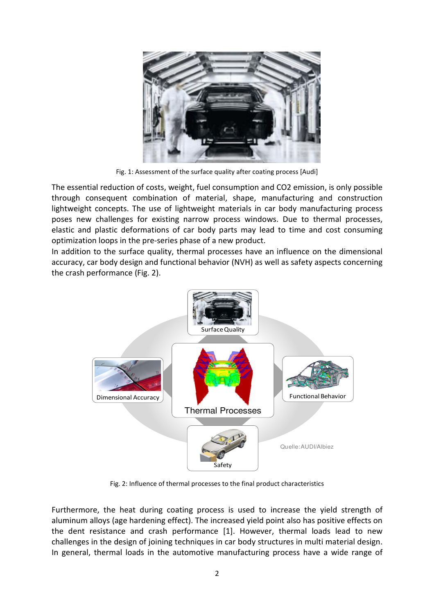

Fig. 1: Assessment of the surface quality after coating process [Audi]

The essential reduction of costs, weight, fuel consumption and CO2 emission, is only possible through consequent combination of material, shape, manufacturing and construction lightweight concepts. The use of lightweight materials in car body manufacturing process poses new challenges for existing narrow process windows. Due to thermal processes, elastic and plastic deformations of car body parts may lead to time and cost consuming optimization loops in the pre-series phase of a new product.

In addition to the surface quality, thermal processes have an influence on the dimensional accuracy, car body design and functional behavior (NVH) as well as safety aspects concerning the crash performance (Fig. 2).



Fig. 2: Influence of thermal processes to the final product characteristics

Furthermore, the heat during coating process is used to increase the yield strength of aluminum alloys (age hardening effect). The increased yield point also has positive effects on the dent resistance and crash performance [1]. However, thermal loads lead to new challenges in the design of joining techniques in car body structures in multi material design. In general, thermal loads in the automotive manufacturing process have a wide range of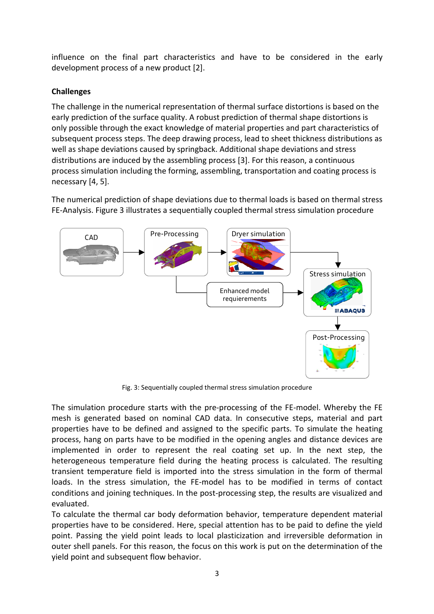influence on the final part characteristics and have to be considered in the early development process of a new product [2].

# **Challenges**

The challenge in the numerical representation of thermal surface distortions is based on the early prediction of the surface quality. A robust prediction of thermal shape distortions is only possible through the exact knowledge of material properties and part characteristics of subsequent process steps. The deep drawing process, lead to sheet thickness distributions as well as shape deviations caused by springback. Additional shape deviations and stress distributions are induced by the assembling process [3]. For this reason, a continuous process simulation including the forming, assembling, transportation and coating process is necessary [4, 5].

The numerical prediction of shape deviations due to thermal loads is based on thermal stress FE-Analysis. Figure 3 illustrates a sequentially coupled thermal stress simulation procedure



Fig. 3: Sequentially coupled thermal stress simulation procedure

The simulation procedure starts with the pre-processing of the FE-model. Whereby the FE mesh is generated based on nominal CAD data. In consecutive steps, material and part properties have to be defined and assigned to the specific parts. To simulate the heating process, hang on parts have to be modified in the opening angles and distance devices are implemented in order to represent the real coating set up. In the next step, the heterogeneous temperature field during the heating process is calculated. The resulting transient temperature field is imported into the stress simulation in the form of thermal loads. In the stress simulation, the FE-model has to be modified in terms of contact conditions and joining techniques. In the post-processing step, the results are visualized and evaluated.

To calculate the thermal car body deformation behavior, temperature dependent material properties have to be considered. Here, special attention has to be paid to define the yield point. Passing the yield point leads to local plasticization and irreversible deformation in outer shell panels. For this reason, the focus on this work is put on the determination of the yield point and subsequent flow behavior.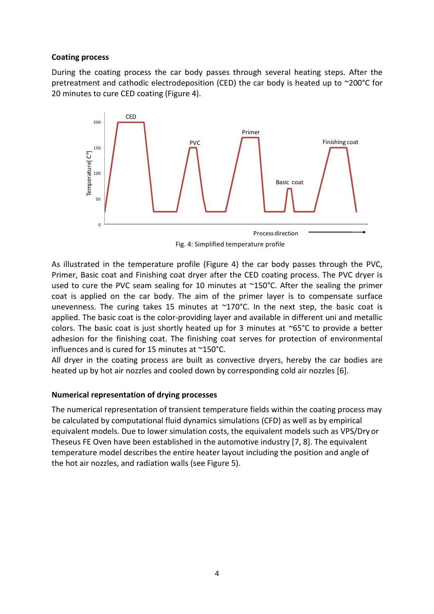## **Coating process**

During the coating process the car body passes through several heating steps. After the pretreatment and cathodic electrodeposition (CED) the car body is heated up to ~200°C for 20 minutes to cure CED coating (Figure 4).



Fig. 4: Simplified temperature profile

As illustrated in the temperature profile (Figure 4) the car body passes through the PVC, Primer, Basic coat and Finishing coat dryer after the CED coating process. The PVC dryer is used to cure the PVC seam sealing for 10 minutes at ~150°C. After the sealing the primer coat is applied on the car body. The aim of the primer layer is to compensate surface unevenness. The curing takes 15 minutes at  $\sim$ 170°C. In the next step, the basic coat is applied. The basic coat is the color-providing layer and available in different uni and metallic colors. The basic coat is just shortly heated up for 3 minutes at  $\sim 65^{\circ}$ C to provide a better adhesion for the finishing coat. The finishing coat serves for protection of environmental influences and is cured for 15 minutes at ~150°C.

All dryer in the coating process are built as convective dryers, hereby the car bodies are heated up by hot air nozzles and cooled down by corresponding cold air nozzles [6].

## **Numerical representation of drying processes**

The numerical representation of transient temperature fields within the coating process may be calculated by computational fluid dynamics simulations (CFD) as well as by empirical equivalent models. Due to lower simulation costs, the equivalent models such as VPS/Dry or Theseus FE Oven have been established in the automotive industry [7, 8]. The equivalent temperature model describes the entire heater layout including the position and angle of the hot air nozzles, and radiation walls (see Figure 5).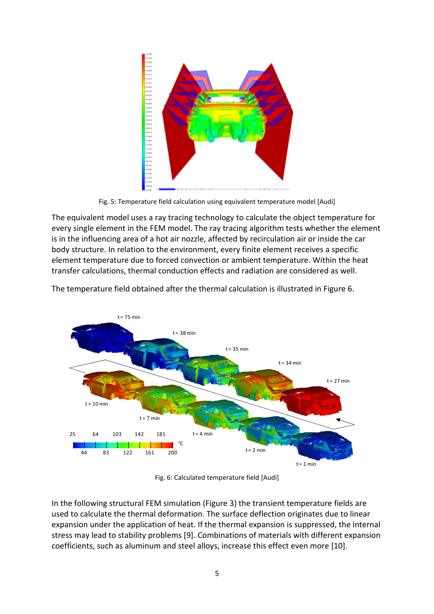

Fig. 5: Temperature field calculation using equivalent temperature model [Audi]

The equivalent model uses a ray tracing technology to calculate the object temperature for every single element in the FEM model. The ray tracing algorithm tests whether the element is in the influencing area of a hot air nozzle, affected by recirculation air or inside the car body structure. In relation to the environment, every finite element receives a specific element temperature due to forced convection or ambient temperature. Within the heat transfer calculations, thermal conduction effects and radiation are considered as well.



The temperature field obtained after the thermal calculation is illustrated in Figure 6.

Fig. 6: Calculated temperature field [Audi]

In the following structural FEM simulation (Figure 3) the transient temperature fields are used to calculate the thermal deformation. The surface deflection originates due to linear expansion under the application of heat. If the thermal expansion is suppressed, the internal stress may lead to stability problems [9]. Combinations of materials with different expansion coefficients, such as aluminum and steel alloys, increase this effect even more [10].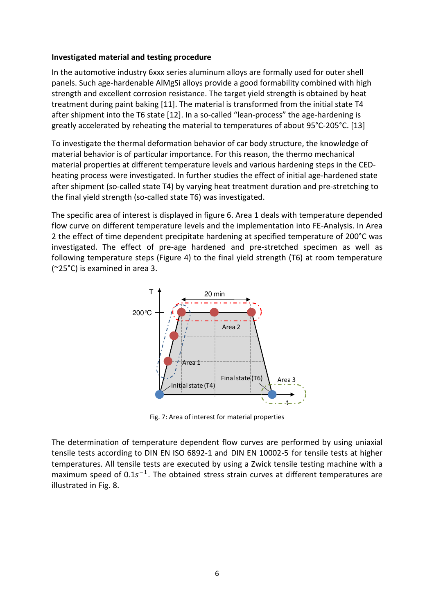#### **Investigated material and testing procedure**

In the automotive industry 6xxx series aluminum alloys are formally used for outer shell panels. Such age-hardenable AlMgSi alloys provide a good formability combined with high strength and excellent corrosion resistance. The target yield strength is obtained by heat treatment during paint baking [11]. The material is transformed from the initial state T4 after shipment into the T6 state [12]. In a so-called "lean-process" the age-hardening is greatly accelerated by reheating the material to temperatures of about 95°C-205°C. [13]

To investigate the thermal deformation behavior of car body structure, the knowledge of material behavior is of particular importance. For this reason, the thermo mechanical material properties at different temperature levels and various hardening steps in the CEDheating process were investigated. In further studies the effect of initial age-hardened state after shipment (so-called state T4) by varying heat treatment duration and pre-stretching to the final yield strength (so-called state T6) was investigated.

The specific area of interest is displayed in figure 6. Area 1 deals with temperature depended flow curve on different temperature levels and the implementation into FE-Analysis. In Area 2 the effect of time dependent precipitate hardening at specified temperature of 200°C was investigated. The effect of pre-age hardened and pre-stretched specimen as well as following temperature steps (Figure 4) to the final yield strength (T6) at room temperature (~25°C) is examined in area 3.



Fig. 7: Area of interest for material properties

The determination of temperature dependent flow curves are performed by using uniaxial tensile tests according to DIN EN ISO 6892-1 and DIN EN 10002-5 for tensile tests at higher temperatures. All tensile tests are executed by using a Zwick tensile testing machine with a maximum speed of  $0.1s^{-1}$ . The obtained stress strain curves at different temperatures are illustrated in Fig. 8.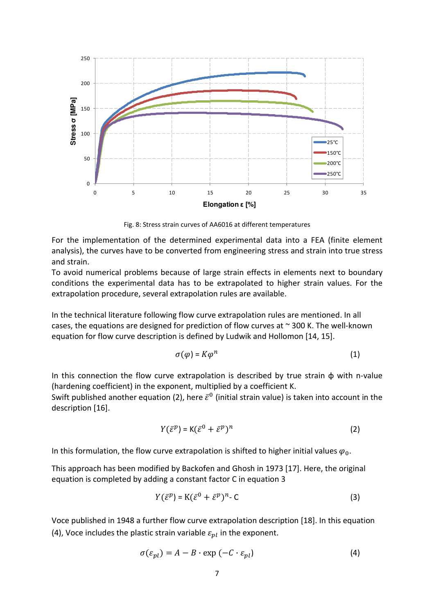

Fig. 8: Stress strain curves of AA6016 at different temperatures

For the implementation of the determined experimental data into a FEA (finite element analysis), the curves have to be converted from engineering stress and strain into true stress and strain.

To avoid numerical problems because of large strain effects in elements next to boundary conditions the experimental data has to be extrapolated to higher strain values. For the extrapolation procedure, several extrapolation rules are available.

In the technical literature following flow curve extrapolation rules are mentioned. In all cases, the equations are designed for prediction of flow curves at  $\sim$  300 K. The well-known equation for flow curve description is defined by Ludwik and Hollomon [14, 15].

$$
\sigma(\varphi) = K\varphi^n \tag{1}
$$

In this connection the flow curve extrapolation is described by true strain  $\phi$  with n-value (hardening coefficient) in the exponent, multiplied by a coefficient K.

Swift published another equation (2), here  $\bar{\varepsilon}^0$  (initial strain value) is taken into account in the description [16].

$$
Y(\bar{\varepsilon}^p) = K(\bar{\varepsilon}^0 + \bar{\varepsilon}^p)^n
$$
 (2)

In this formulation, the flow curve extrapolation is shifted to higher initial values  $\varphi_0$ .

This approach has been modified by Backofen and Ghosh in 1973 [17]. Here, the original equation is completed by adding a constant factor C in equation 3

$$
Y(\bar{\varepsilon}^p) = \mathbf{K}(\bar{\varepsilon}^0 + \bar{\varepsilon}^p)^n - \mathbf{C}
$$
 (3)

Voce published in 1948 a further flow curve extrapolation description [18]. In this equation (4), Voce includes the plastic strain variable  $\varepsilon_{nl}$  in the exponent.

$$
\sigma(\varepsilon_{pl}) = A - B \cdot \exp(-C \cdot \varepsilon_{pl})
$$
\n(4)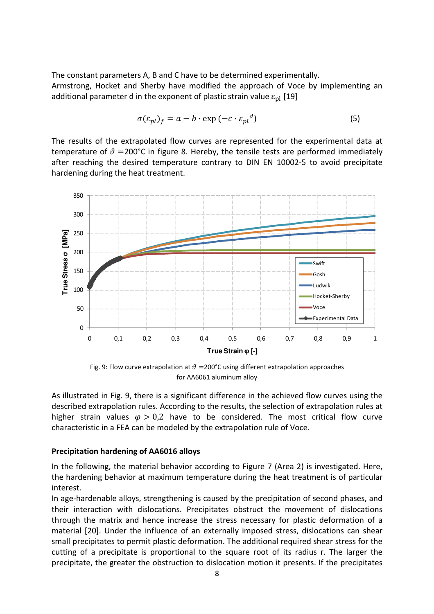The constant parameters A, B and C have to be determined experimentally. Armstrong, Hocket and Sherby have modified the approach of Voce by implementing an additional parameter d in the exponent of plastic strain value  $\varepsilon_{\text{pl}}$  [19]

$$
\sigma(\varepsilon_{pl})_f = a - b \cdot \exp\left(-c \cdot \varepsilon_{pl}{}^d\right) \tag{5}
$$

The results of the extrapolated flow curves are represented for the experimental data at temperature of  $\vartheta$  =200°C in figure 8. Hereby, the tensile tests are performed immediately after reaching the desired temperature contrary to DIN EN 10002-5 to avoid precipitate hardening during the heat treatment.



Fig. 9: Flow curve extrapolation at  $\theta = 200^{\circ}$ C using different extrapolation approaches for AA6061 aluminum alloy

As illustrated in Fig. 9, there is a significant difference in the achieved flow curves using the described extrapolation rules. According to the results, the selection of extrapolation rules at higher strain values  $\varphi > 0.2$  have to be considered. The most critical flow curve characteristic in a FEA can be modeled by the extrapolation rule of Voce.

#### **Precipitation hardening of AA6016 alloys**

In the following, the material behavior according to Figure 7 (Area 2) is investigated. Here, the hardening behavior at maximum temperature during the heat treatment is of particular interest.

In age-hardenable alloys, strengthening is caused by the precipitation of second phases, and their interaction with dislocations. Precipitates obstruct the movement of dislocations through the matrix and hence increase the stress necessary for plastic deformation of a material [20]. Under the influence of an externally imposed stress, dislocations can shear small precipitates to permit plastic deformation. The additional required shear stress for the cutting of a precipitate is proportional to the square root of its radius r. The larger the precipitate, the greater the obstruction to dislocation motion it presents. If the precipitates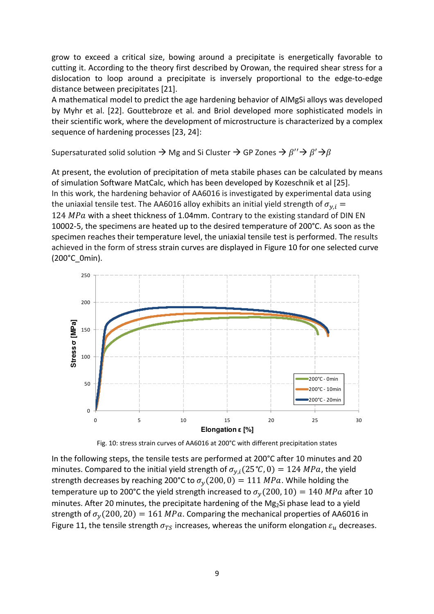grow to exceed a critical size, bowing around a precipitate is energetically favorable to cutting it. According to the theory first described by Orowan, the required shear stress for a dislocation to loop around a precipitate is inversely proportional to the edge-to-edge distance between precipitates [21].

A mathematical model to predict the age hardening behavior of AlMgSi alloys was developed by Myhr et al. [22]. Gouttebroze et al. and Briol developed more sophisticated models in their scientific work, where the development of microstructure is characterized by a complex sequence of hardening processes [23, 24]:

Supersaturated solid solution  $\rightarrow$  Mg and Si Cluster  $\rightarrow$  GP Zones  $\rightarrow \beta'' \rightarrow \beta' \rightarrow \beta$ 

At present, the evolution of precipitation of meta stabile phases can be calculated by means of simulation Software MatCalc, which has been developed by Kozeschnik et al [25]. In this work, the hardening behavior of AA6016 is investigated by experimental data using the uniaxial tensile test. The AA6016 alloy exhibits an initial yield strength of  $\sigma_{v,i}$  =  $124 MPa$  with a sheet thickness of 1.04mm. Contrary to the existing standard of DIN EN 10002-5, the specimens are heated up to the desired temperature of 200°C. As soon as the specimen reaches their temperature level, the uniaxial tensile test is performed. The results achieved in the form of stress strain curves are displayed in Figure 10 for one selected curve (200°C\_0min).



Fig. 10: stress strain curves of AA6016 at 200°C with different precipitation states

In the following steps, the tensile tests are performed at 200°C after 10 minutes and 20 minutes. Compared to the initial yield strength of  $\sigma_{v,i}(25\degree C, 0) = 124 \text{ MPa}$ , the yield strength decreases by reaching 200°C to  $\sigma_v(200, 0) = 111 \, MPa$ . While holding the temperature up to 200°C the yield strength increased to  $\sigma_v(200, 10) = 140$  MPa after 10 minutes. After 20 minutes, the precipitate hardening of the Mg<sub>2</sub>Si phase lead to a yield strength of  $\sigma_v(200, 20) = 161 MPa$ . Comparing the mechanical properties of AA6016 in Figure 11, the tensile strength  $\sigma_{TS}$  increases, whereas the uniform elongation  $\varepsilon_u$  decreases.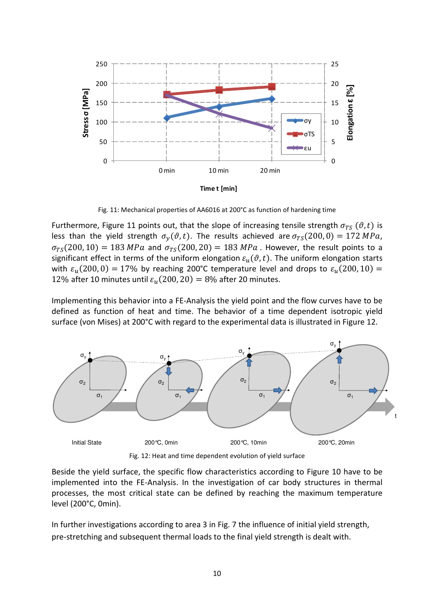

Fig. 11: Mechanical properties of AA6016 at 200°C as function of hardening time

Furthermore, Figure 11 points out, that the slope of increasing tensile strength  $\sigma_{TS}$  ( $\vartheta$ , t) is less than the yield strength  $\sigma_v(\vartheta, t)$ . The results achieved are  $\sigma_{TS}(200, 0) = 172 MPa$ ,  $\sigma_{TS}(200, 10) = 183 MPa$  and  $\sigma_{TS}(200, 20) = 183 MPa$ . However, the result points to a significant effect in terms of the uniform elongation  $\varepsilon_n(\vartheta, t)$ . The uniform elongation starts with  $\varepsilon_u(200,0) = 17\%$  by reaching 200°C temperature level and drops to  $\varepsilon_u(200,10) =$ 12% after 10 minutes until  $\varepsilon_u(200, 20) = 8\%$  after 20 minutes.

Implementing this behavior into a FE-Analysis the yield point and the flow curves have to be defined as function of heat and time. The behavior of a time dependent isotropic yield surface (von Mises) at 200°C with regard to the experimental data is illustrated in Figure 12.



Fig. 12: Heat and time dependent evolution of yield surface

Beside the yield surface, the specific flow characteristics according to Figure 10 have to be implemented into the FE-Analysis. In the investigation of car body structures in thermal processes, the most critical state can be defined by reaching the maximum temperature level (200°C, 0min).

In further investigations according to area 3 in Fig. 7 the influence of initial yield strength, pre-stretching and subsequent thermal loads to the final yield strength is dealt with.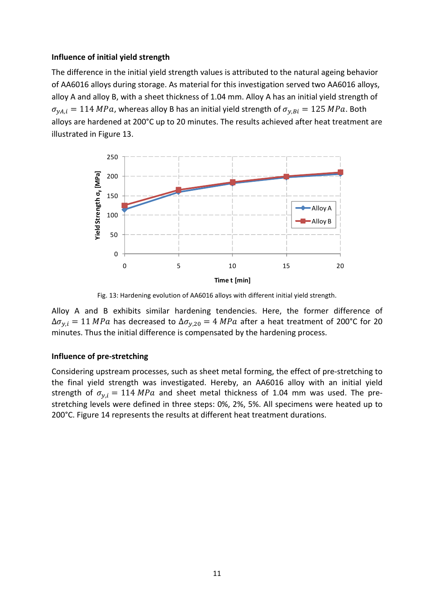## **Influence of initial yield strength**

The difference in the initial yield strength values is attributed to the natural ageing behavior of AA6016 alloys during storage. As material for this investigation served two AA6016 alloys, alloy A and alloy B, with a sheet thickness of 1.04 mm. Alloy A has an initial yield strength of  $\sigma_{vA,i} = 114 MPa$ , whereas alloy B has an initial yield strength of  $\sigma_{vBi} = 125 MPa$ . Both alloys are hardened at 200°C up to 20 minutes. The results achieved after heat treatment are illustrated in Figure 13.



Fig. 13: Hardening evolution of AA6016 alloys with different initial yield strength.

Alloy A and B exhibits similar hardening tendencies. Here, the former difference of  $\Delta \sigma_{y,i} = 11 \, MPa$  has decreased to  $\Delta \sigma_{y,20} = 4 \, MPa$  after a heat treatment of 200°C for 20 minutes. Thus the initial difference is compensated by the hardening process.

## **Influence of pre-stretching**

Considering upstream processes, such as sheet metal forming, the effect of pre-stretching to the final yield strength was investigated. Hereby, an AA6016 alloy with an initial yield strength of  $\sigma_{v,i} = 114 MPa$  and sheet metal thickness of 1.04 mm was used. The prestretching levels were defined in three steps: 0%, 2%, 5%. All specimens were heated up to 200°C. Figure 14 represents the results at different heat treatment durations.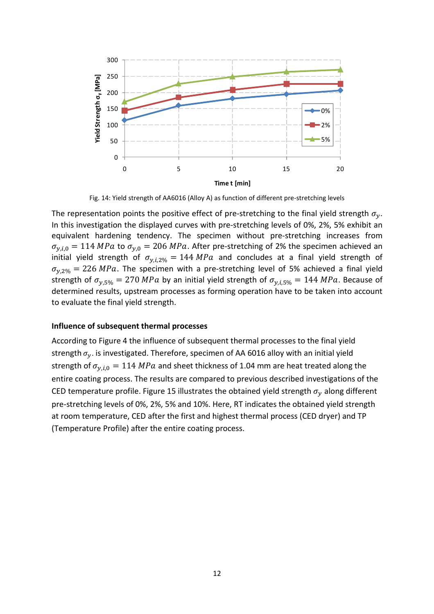

Fig. 14: Yield strength of AA6016 (Alloy A) as function of different pre-stretching levels

The representation points the positive effect of pre-stretching to the final yield strength  $\sigma_{\nu}$ . In this investigation the displayed curves with pre-stretching levels of 0%, 2%, 5% exhibit an equivalent hardening tendency. The specimen without pre-stretching increases from  $\sigma_{y,i,0} = 114 MPa$  to  $\sigma_{y,0} = 206 MPa$ . After pre-stretching of 2% the specimen achieved an initial yield strength of  $\sigma_{v,i,2\%} = 144 MPa$  and concludes at a final yield strength of  $\sigma_{v,2\%}$  = 226 MPa. The specimen with a pre-stretching level of 5% achieved a final yield strength of  $\sigma_{v,5\%} = 270 \text{ MPa}$  by an initial yield strength of  $\sigma_{v,i,5\%} = 144 \text{ MPa}$ . Because of determined results, upstream processes as forming operation have to be taken into account to evaluate the final yield strength.

#### **Influence of subsequent thermal processes**

According to Figure 4 the influence of subsequent thermal processes to the final yield strength  $\sigma_v$ . is investigated. Therefore, specimen of AA 6016 alloy with an initial yield strength of  $\sigma_{v,i,0} = 114 MPa$  and sheet thickness of 1.04 mm are heat treated along the entire coating process. The results are compared to previous described investigations of the CED temperature profile. Figure 15 illustrates the obtained yield strength  $\sigma_{\rm v}$  along different pre-stretching levels of 0%, 2%, 5% and 10%. Here, RT indicates the obtained yield strength at room temperature, CED after the first and highest thermal process (CED dryer) and TP (Temperature Profile) after the entire coating process.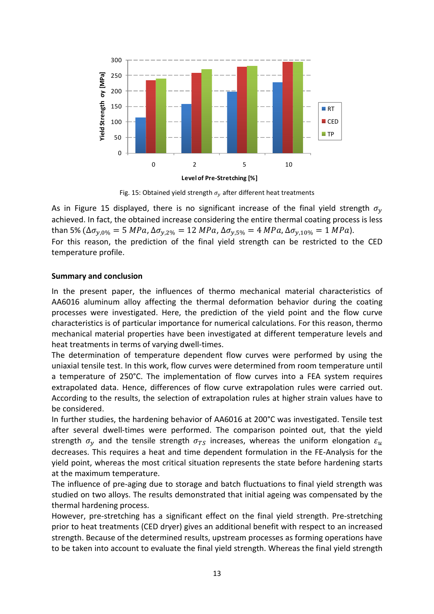

Fig. 15: Obtained yield strength  $\sigma_{\rm v}$  after different heat treatments

As in Figure 15 displayed, there is no significant increase of the final yield strength  $\sigma_{v}$ achieved. In fact, the obtained increase considering the entire thermal coating process is less than 5%  $(\Delta \sigma_{v.0\%} = 5 \text{ MPa}, \Delta \sigma_{v.2\%} = 12 \text{ MPa}, \Delta \sigma_{v.5\%} = 4 \text{ MPa}, \Delta \sigma_{v.10\%} = 1 \text{ MPa}).$ 

For this reason, the prediction of the final yield strength can be restricted to the CED temperature profile.

## **Summary and conclusion**

In the present paper, the influences of thermo mechanical material characteristics of AA6016 aluminum alloy affecting the thermal deformation behavior during the coating processes were investigated. Here, the prediction of the yield point and the flow curve characteristics is of particular importance for numerical calculations. For this reason, thermo mechanical material properties have been investigated at different temperature levels and heat treatments in terms of varying dwell-times.

The determination of temperature dependent flow curves were performed by using the uniaxial tensile test. In this work, flow curves were determined from room temperature until a temperature of 250°C. The implementation of flow curves into a FEA system requires extrapolated data. Hence, differences of flow curve extrapolation rules were carried out. According to the results, the selection of extrapolation rules at higher strain values have to be considered.

In further studies, the hardening behavior of AA6016 at 200°C was investigated. Tensile test after several dwell-times were performed. The comparison pointed out, that the yield strength  $\sigma_v$  and the tensile strength  $\sigma_{TS}$  increases, whereas the uniform elongation  $\varepsilon_u$ decreases. This requires a heat and time dependent formulation in the FE-Analysis for the yield point, whereas the most critical situation represents the state before hardening starts at the maximum temperature.

The influence of pre-aging due to storage and batch fluctuations to final yield strength was studied on two alloys. The results demonstrated that initial ageing was compensated by the thermal hardening process.

However, pre-stretching has a significant effect on the final yield strength. Pre-stretching prior to heat treatments (CED dryer) gives an additional benefit with respect to an increased strength. Because of the determined results, upstream processes as forming operations have to be taken into account to evaluate the final yield strength. Whereas the final yield strength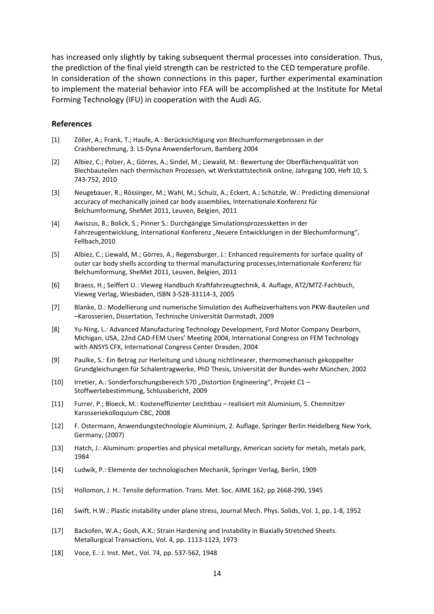has increased only slightly by taking subsequent thermal processes into consideration. Thus, the prediction of the final yield strength can be restricted to the CED temperature profile. In consideration of the shown connections in this paper, further experimental examination to implement the material behavior into FEA will be accomplished at the Institute for Metal Forming Technology (IFU) in cooperation with the Audi AG.

#### **References**

- [1] Zöller, A.; Frank, T.; Haufe, A.: Berücksichtigung von Blechumformergebnissen in der Crashberechnung, 3. LS-Dyna Anwenderforum, Bamberg 2004
- [2] Albiez, C.; Polzer, A.; Görres, A.; Sindel, M.; Liewald, M.: Bewertung der Oberflächenqualität von Blechbauteilen nach thermischen Prozessen, wt Werkstattstechnik online, Jahrgang 100, Heft 10, S. 743-752, 2010
- [3] Neugebauer, R.; Rössinger, M.; Wahl, M.; Schulz, A.; Eckert, A.; Schützle, W.: Predicting dimensional accuracy of mechanically joined car body assemblies, Internationale Konferenz für Belchumformung, SheMet 2011, Leuven, Belgien, 2011
- [4] Awiszus, B.; Bolick, S.; Pinner S.: Durchgängige Simulationsprozessketten in der Fahrzeugentwicklung, International Konferenz "Neuere Entwicklungen in der Blechumformung", Fellbach,2010
- [5] Albiez, C.; Liewald, M.; Görres, A.; Regensburger, J.: Enhanced requirements for surface quality of outer car body shells according to thermal manufacturing processes,Internationale Konferenz für Belchumformung, SheMet 2011, Leuven, Belgien, 2011
- [6] Braess, H.; Seiffert U.: Vieweg Handbuch Kraftfahrzeugtechnik, 4. Auflage, ATZ/MTZ-Fachbuch, Vieweg Verlag, Wiesbaden, ISBN 3-528-33114-3, 2005
- [7] Blanke, D.: Modellierung und numerische Simulation des Aufheizverhaltens von PKW-Bauteilen und –Karosserien, Dissertation, Technische Universität Darmstadt, 2009
- [8] Yu-Ning, L.: Advanced Manufacturing Technology Development, Ford Motor Company Dearborn, Michigan, USA, 22nd CAD-FEM Users' Meeting 2004, International Congress on FEM Technology with ANSYS CFX, International Congress Center Dresden, 2004
- [9] Paulke, S.: Ein Betrag zur Herleitung und Lösung nichtlinearer, thermomechanisch gekoppelter Grundgleichungen für Schalentragwerke, PhD Thesis, Universität der Bundes-wehr München, 2002
- [10] Irretier, A.: Sonderforschungsbereich 570 "Distortion Engineering", Projekt C1 Stoffwertebestimmung, Schlussbericht, 2009
- [11] Furrer, P.; Bloeck, M.: Kosteneffizienter Leichtbau realisiert mit Aluminium, 5. Chemnitzer Karosseriekolloquium CBC, 2008
- [12] F. Ostermann, Anwendungstechnologie Aluminium, 2. Auflage, Springer Berlin Heidelberg New York, Germany, (2007)
- [13] Hatch, J.: Aluminum: properties and physical metallurgy, American society for metals, metals park, 1984
- [14] Ludwik, P.: Elemente der technologischen Mechanik, Springer Verlag, Berlin, 1909
- [15] Hollomon, J. H.: Tensile deformation. Trans. Met. Soc. AIME 162, pp 2668-290, 1945
- [16] Swift, H.W.: Plastic instability under plane stress, Journal Mech. Phys. Solids, Vol. 1, pp. 1-8, 1952
- [17] Backofen, W.A.; Gosh, A.K.: Strain Hardening and Instability in Biaxially Stretched Sheets. Metallurgical Transactions, Vol. 4, pp. 1113-1123, 1973
- [18] Voce, E.: J. Inst. Met., Vol. 74, pp. 537-562, 1948